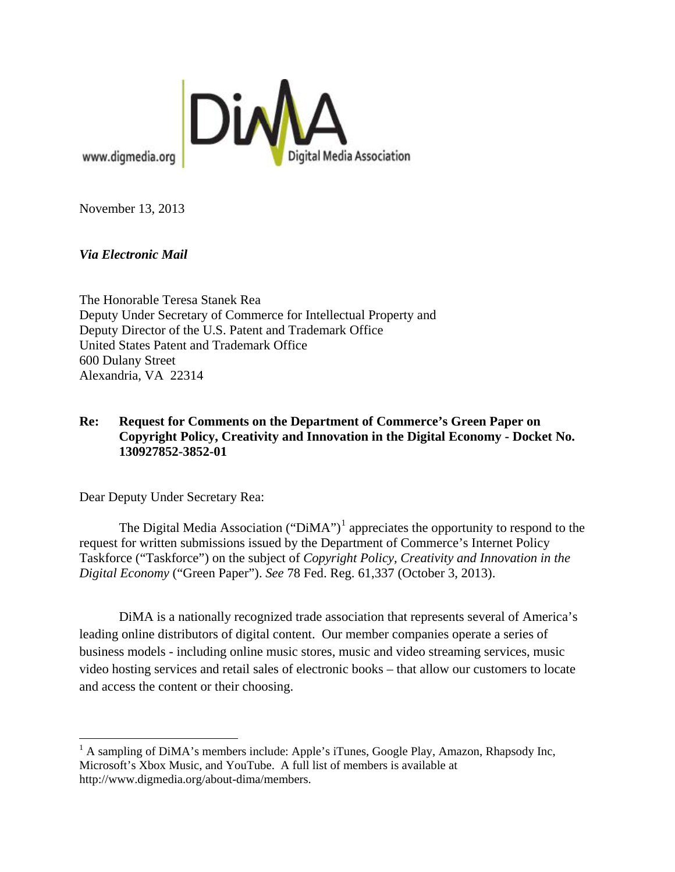

www.digmedia.org

November 13, 2013

*Via Electronic Mail*

The Honorable Teresa Stanek Rea Deputy Under Secretary of Commerce for Intellectual Property and Deputy Director of the U.S. Patent and Trademark Office United States Patent and Trademark Office 600 Dulany Street Alexandria, VA 22314

## **Re: Request for Comments on the Department of Commerce's Green Paper on Copyright Policy, Creativity and Innovation in the Digital Economy - Docket No. 130927852-3852-01**

Dear Deputy Under Secretary Rea:

 $\overline{\phantom{0}}$ 

The Digital Media Association (" $DiMA$ ")<sup>[1](#page-0-0)</sup> appreciates the opportunity to respond to the request for written submissions issued by the Department of Commerce's Internet Policy Taskforce ("Taskforce") on the subject of *Copyright Policy, Creativity and Innovation in the Digital Economy* ("Green Paper"). *See* 78 Fed. Reg. 61,337 (October 3, 2013).

DiMA is a nationally recognized trade association that represents several of America's leading online distributors of digital content. Our member companies operate a series of business models - including online music stores, music and video streaming services, music video hosting services and retail sales of electronic books – that allow our customers to locate and access the content or their choosing.

<span id="page-0-0"></span> $<sup>1</sup>$  A sampling of DiMA's members include: Apple's iTunes, Google Play, Amazon, Rhapsody Inc,</sup> Microsoft's Xbox Music, and YouTube. A full list of members is available at http://www.digmedia.org/about-dima/members.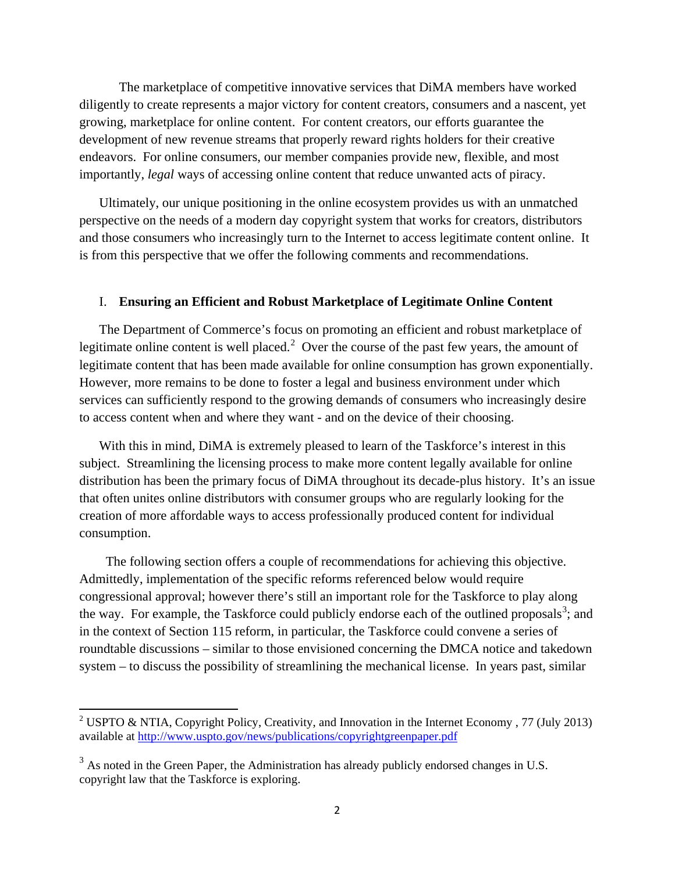The marketplace of competitive innovative services that DiMA members have worked diligently to create represents a major victory for content creators, consumers and a nascent, yet growing, marketplace for online content. For content creators, our efforts guarantee the development of new revenue streams that properly reward rights holders for their creative endeavors. For online consumers, our member companies provide new, flexible, and most importantly, *legal* ways of accessing online content that reduce unwanted acts of piracy.

Ultimately, our unique positioning in the online ecosystem provides us with an unmatched perspective on the needs of a modern day copyright system that works for creators, distributors and those consumers who increasingly turn to the Internet to access legitimate content online. It is from this perspective that we offer the following comments and recommendations.

#### I. **Ensuring an Efficient and Robust Marketplace of Legitimate Online Content**

The Department of Commerce's focus on promoting an efficient and robust marketplace of legitimate online content is well placed.<sup>[2](#page-1-0)</sup> Over the course of the past few years, the amount of legitimate content that has been made available for online consumption has grown exponentially. However, more remains to be done to foster a legal and business environment under which services can sufficiently respond to the growing demands of consumers who increasingly desire to access content when and where they want - and on the device of their choosing.

With this in mind, DiMA is extremely pleased to learn of the Taskforce's interest in this subject. Streamlining the licensing process to make more content legally available for online distribution has been the primary focus of DiMA throughout its decade-plus history. It's an issue that often unites online distributors with consumer groups who are regularly looking for the creation of more affordable ways to access professionally produced content for individual consumption.

 The following section offers a couple of recommendations for achieving this objective. Admittedly, implementation of the specific reforms referenced below would require congressional approval; however there's still an important role for the Taskforce to play along the way. For example, the Taskforce could publicly endorse each of the outlined proposals<sup>[3](#page-1-1)</sup>; and in the context of Section 115 reform, in particular, the Taskforce could convene a series of roundtable discussions – similar to those envisioned concerning the DMCA notice and takedown system – to discuss the possibility of streamlining the mechanical license. In years past, similar

<span id="page-1-0"></span><sup>&</sup>lt;sup>2</sup> USPTO & NTIA, Copyright Policy, Creativity, and Innovation in the Internet Economy, 77 (July 2013) available at <http://www.uspto.gov/news/publications/copyrightgreenpaper.pdf>

<span id="page-1-1"></span> $3$  As noted in the Green Paper, the Administration has already publicly endorsed changes in U.S. copyright law that the Taskforce is exploring.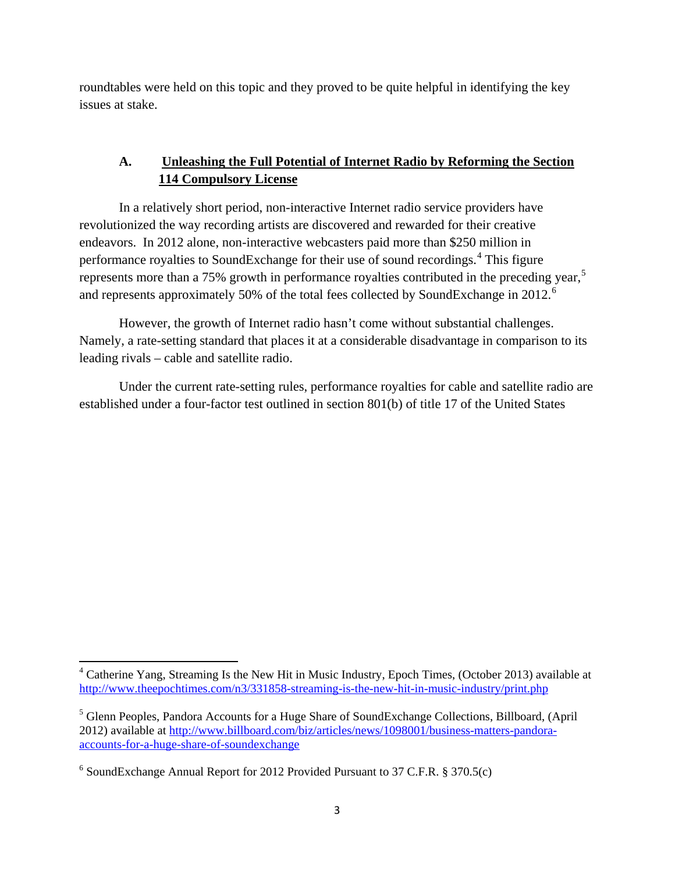roundtables were held on this topic and they proved to be quite helpful in identifying the key issues at stake.

## **A. Unleashing the Full Potential of Internet Radio by Reforming the Section 114 Compulsory License**

In a relatively short period, non-interactive Internet radio service providers have revolutionized the way recording artists are discovered and rewarded for their creative endeavors. In 2012 alone, non-interactive webcasters paid more than \$250 million in performance royalties to SoundExchange for their use of sound recordings.<sup>[4](#page-2-0)</sup> This figure represents more than a 7[5](#page-2-1)% growth in performance royalties contributed in the preceding year,<sup>5</sup> and represents approximately 50% of the total fees collected by SoundExchange in 2012.<sup>[6](#page-2-2)</sup>

However, the growth of Internet radio hasn't come without substantial challenges. Namely, a rate-setting standard that places it at a considerable disadvantage in comparison to its leading rivals – cable and satellite radio.

Under the current rate-setting rules, performance royalties for cable and satellite radio are established under a four-factor test outlined in section 801(b) of title 17 of the United States

<span id="page-2-0"></span> $4$  Catherine Yang, Streaming Is the New Hit in Music Industry, Epoch Times, (October 2013) available at <http://www.theepochtimes.com/n3/331858-streaming-is-the-new-hit-in-music-industry/print.php>

<span id="page-2-1"></span><sup>5</sup> Glenn Peoples, Pandora Accounts for a Huge Share of SoundExchange Collections, Billboard, (April 2012) available at [http://www.billboard.com/biz/articles/news/1098001/business-matters-pandora](http://www.billboard.com/biz/articles/news/1098001/business-matters-pandora-accounts-for-a-huge-share-of-soundexchange)[accounts-for-a-huge-share-of-soundexchange](http://www.billboard.com/biz/articles/news/1098001/business-matters-pandora-accounts-for-a-huge-share-of-soundexchange)

<span id="page-2-2"></span> $6$  SoundExchange Annual Report for 2012 Provided Pursuant to 37 C.F.R. § 370.5(c)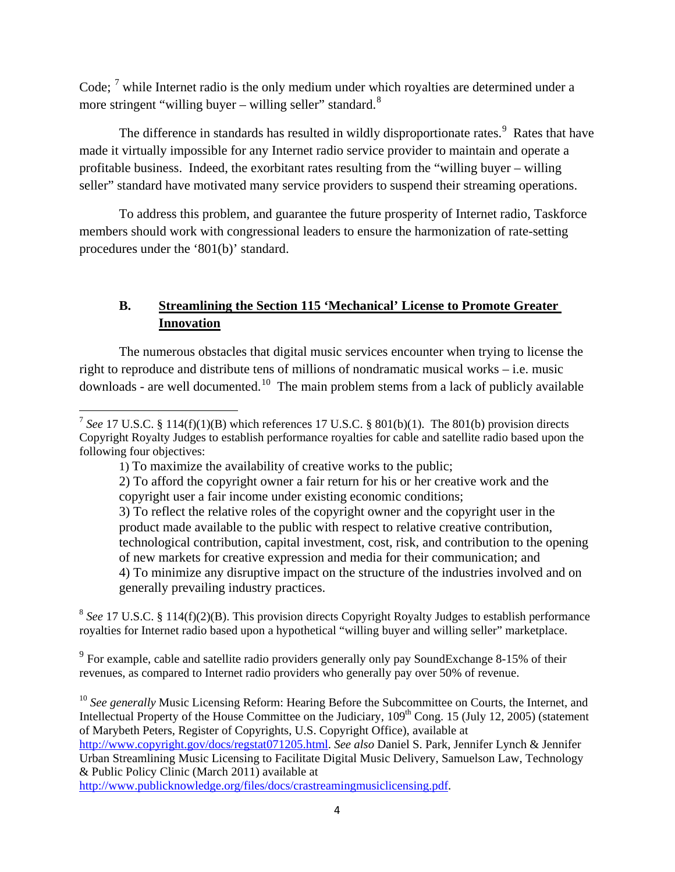Code; <sup>[7](#page-3-0)</sup> while Internet radio is the only medium under which royalties are determined under a more stringent "willing buyer – willing seller" standard. $8$ 

The difference in standards has resulted in wildly disproportionate rates.<sup>[9](#page-3-2)</sup> Rates that have made it virtually impossible for any Internet radio service provider to maintain and operate a profitable business. Indeed, the exorbitant rates resulting from the "willing buyer – willing seller" standard have motivated many service providers to suspend their streaming operations.

To address this problem, and guarantee the future prosperity of Internet radio, Taskforce members should work with congressional leaders to ensure the harmonization of rate-setting procedures under the '801(b)' standard.

## **B. Streamlining the Section 115 'Mechanical' License to Promote Greater Innovation**

The numerous obstacles that digital music services encounter when trying to license the right to reproduce and distribute tens of millions of nondramatic musical works – i.e. music downloads - are well documented.<sup>[10](#page-3-3)</sup> The main problem stems from a lack of publicly available

ı

<span id="page-3-1"></span><sup>8</sup> See 17 U.S.C. § 114(f)(2)(B). This provision directs Copyright Royalty Judges to establish performance royalties for Internet radio based upon a hypothetical "willing buyer and willing seller" marketplace.

<span id="page-3-2"></span><sup>9</sup> For example, cable and satellite radio providers generally only pay SoundExchange 8-15% of their revenues, as compared to Internet radio providers who generally pay over 50% of revenue.

<span id="page-3-3"></span><sup>10</sup> See generally Music Licensing Reform: Hearing Before the Subcommittee on Courts, the Internet, and Intellectual Property of the House Committee on the Judiciary, 109<sup>th</sup> Cong. 15 (July 12, 2005) (statement of Marybeth Peters, Register of Copyrights, U.S. Copyright Office), available at

[http://www.publicknowledge.org/files/docs/crastreamingmusiclicensing.pdf.](http://www.publicknowledge.org/files/docs/crastreamingmusiclicensing.pdf)

<span id="page-3-0"></span><sup>&</sup>lt;sup>7</sup> See 17 U.S.C. § 114(f)(1)(B) which references 17 U.S.C. § 801(b)(1). The 801(b) provision directs Copyright Royalty Judges to establish performance royalties for cable and satellite radio based upon the following four objectives:

<sup>1)</sup> To maximize the availability of creative works to the public;

<sup>2)</sup> To afford the copyright owner a fair return for his or her creative work and the copyright user a fair income under existing economic conditions;

<sup>3)</sup> To reflect the relative roles of the copyright owner and the copyright user in the product made available to the public with respect to relative creative contribution, technological contribution, capital investment, cost, risk, and contribution to the opening of new markets for creative expression and media for their communication; and 4) To minimize any disruptive impact on the structure of the industries involved and on generally prevailing industry practices.

[http://www.copyright.gov/docs/regstat071205.html.](http://www.copyright.gov/docs/regstat071205.html) *See also* Daniel S. Park, Jennifer Lynch & Jennifer Urban Streamlining Music Licensing to Facilitate Digital Music Delivery, Samuelson Law, Technology & Public Policy Clinic (March 2011) available at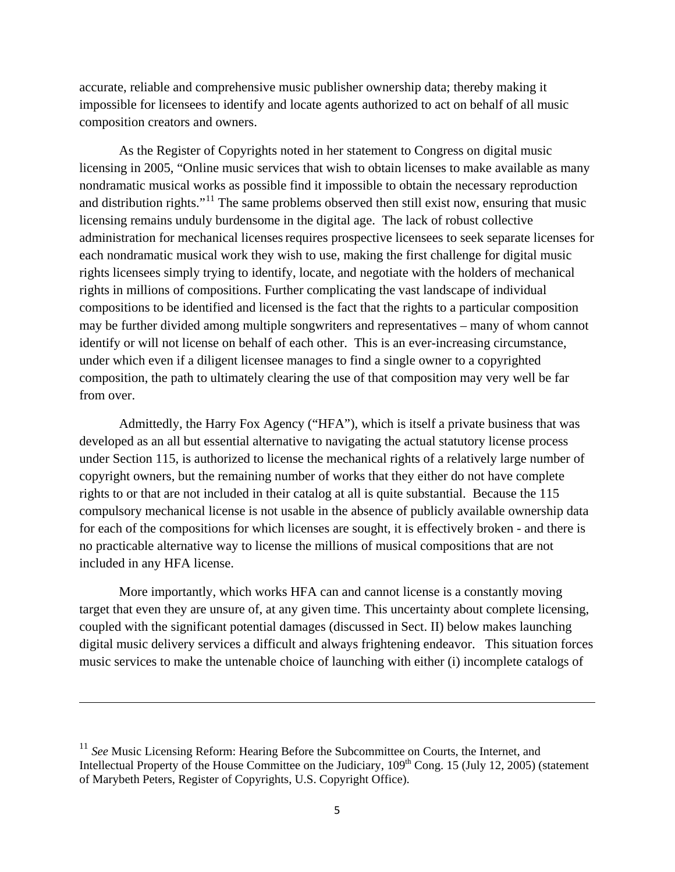accurate, reliable and comprehensive music publisher ownership data; thereby making it impossible for licensees to identify and locate agents authorized to act on behalf of all music composition creators and owners.

As the Register of Copyrights noted in her statement to Congress on digital music licensing in 2005, "Online music services that wish to obtain licenses to make available as many nondramatic musical works as possible find it impossible to obtain the necessary reproduction and distribution rights."<sup>[11](#page-4-0)</sup> The same problems observed then still exist now, ensuring that music licensing remains unduly burdensome in the digital age. The lack of robust collective administration for mechanical licenses requires prospective licensees to seek separate licenses for each nondramatic musical work they wish to use, making the first challenge for digital music rights licensees simply trying to identify, locate, and negotiate with the holders of mechanical rights in millions of compositions. Further complicating the vast landscape of individual compositions to be identified and licensed is the fact that the rights to a particular composition may be further divided among multiple songwriters and representatives – many of whom cannot identify or will not license on behalf of each other. This is an ever-increasing circumstance, under which even if a diligent licensee manages to find a single owner to a copyrighted composition, the path to ultimately clearing the use of that composition may very well be far from over.

Admittedly, the Harry Fox Agency ("HFA"), which is itself a private business that was developed as an all but essential alternative to navigating the actual statutory license process under Section 115, is authorized to license the mechanical rights of a relatively large number of copyright owners, but the remaining number of works that they either do not have complete rights to or that are not included in their catalog at all is quite substantial. Because the 115 compulsory mechanical license is not usable in the absence of publicly available ownership data for each of the compositions for which licenses are sought, it is effectively broken - and there is no practicable alternative way to license the millions of musical compositions that are not included in any HFA license.

More importantly, which works HFA can and cannot license is a constantly moving target that even they are unsure of, at any given time. This uncertainty about complete licensing, coupled with the significant potential damages (discussed in Sect. II) below makes launching digital music delivery services a difficult and always frightening endeavor. This situation forces music services to make the untenable choice of launching with either (i) incomplete catalogs of

<span id="page-4-0"></span><sup>&</sup>lt;sup>11</sup> See Music Licensing Reform: Hearing Before the Subcommittee on Courts, the Internet, and Intellectual Property of the House Committee on the Judiciary,  $109<sup>th</sup>$  Cong. 15 (July 12, 2005) (statement of Marybeth Peters, Register of Copyrights, U.S. Copyright Office).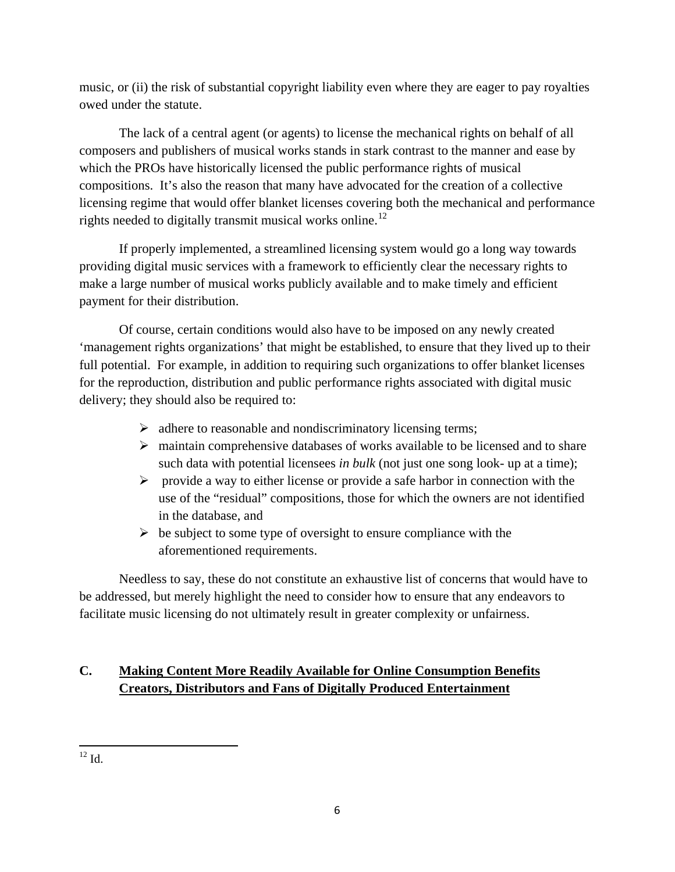music, or (ii) the risk of substantial copyright liability even where they are eager to pay royalties owed under the statute.

The lack of a central agent (or agents) to license the mechanical rights on behalf of all composers and publishers of musical works stands in stark contrast to the manner and ease by which the PROs have historically licensed the public performance rights of musical compositions. It's also the reason that many have advocated for the creation of a collective licensing regime that would offer blanket licenses covering both the mechanical and performance rights needed to digitally transmit musical works online.<sup>[12](#page-5-0)</sup>

If properly implemented, a streamlined licensing system would go a long way towards providing digital music services with a framework to efficiently clear the necessary rights to make a large number of musical works publicly available and to make timely and efficient payment for their distribution.

Of course, certain conditions would also have to be imposed on any newly created 'management rights organizations' that might be established, to ensure that they lived up to their full potential. For example, in addition to requiring such organizations to offer blanket licenses for the reproduction, distribution and public performance rights associated with digital music delivery; they should also be required to:

- $\triangleright$  adhere to reasonable and nondiscriminatory licensing terms;
- $\triangleright$  maintain comprehensive databases of works available to be licensed and to share such data with potential licensees *in bulk* (not just one song look- up at a time);
- $\triangleright$  provide a way to either license or provide a safe harbor in connection with the use of the "residual" compositions, those for which the owners are not identified in the database, and
- $\triangleright$  be subject to some type of oversight to ensure compliance with the aforementioned requirements.

Needless to say, these do not constitute an exhaustive list of concerns that would have to be addressed, but merely highlight the need to consider how to ensure that any endeavors to facilitate music licensing do not ultimately result in greater complexity or unfairness.

# **C. Making Content More Readily Available for Online Consumption Benefits Creators, Distributors and Fans of Digitally Produced Entertainment**

<span id="page-5-0"></span> $\overline{\phantom{0}}$  $^{12}$  Id.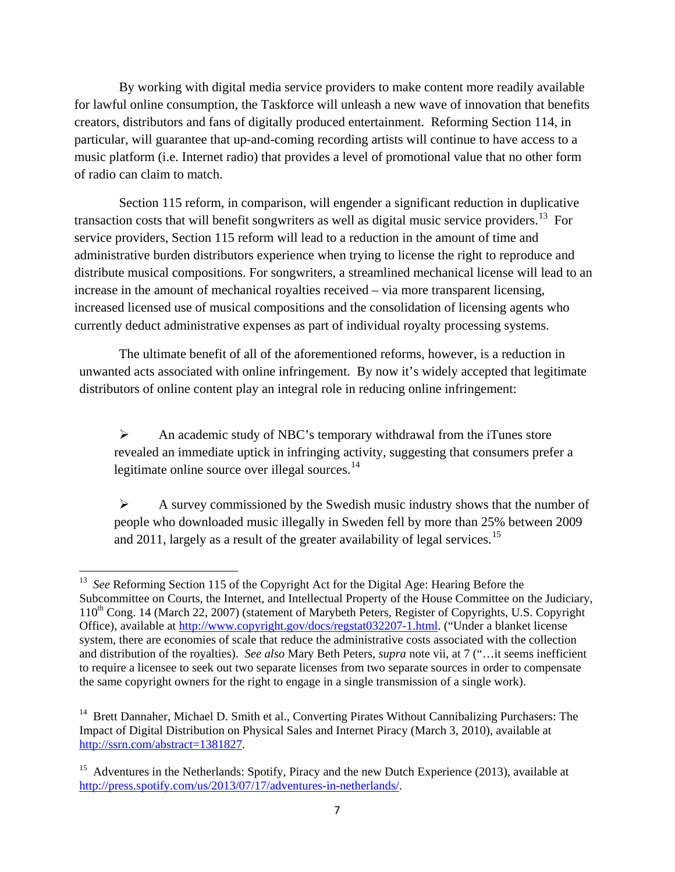By working with digital media service providers to make content more readily available for lawful online consumption, the Taskforce will unleash a new wave of innovation that benefits creators, distributors and fans of digitally produced entertainment. Reforming Section 114, in particular, will guarantee that up-and-coming recording artists will continue to have access to a music platform (i.e. Internet radio) that provides a level of promotional value that no other form of radio can claim to match.

Section 115 reform, in comparison, will engender a significant reduction in duplicative transaction costs that will benefit songwriters as well as digital music service providers.<sup>[13](#page-6-0)</sup> For service providers, Section 115 reform will lead to a reduction in the amount of time and administrative burden distributors experience when trying to license the right to reproduce and distribute musical compositions. For songwriters, a streamlined mechanical license will lead to an increase in the amount of mechanical royalties received – via more transparent licensing, increased licensed use of musical compositions and the consolidation of licensing agents who currently deduct administrative expenses as part of individual royalty processing systems.

The ultimate benefit of all of the aforementioned reforms, however, is a reduction in unwanted acts associated with online infringement. By now it's widely accepted that legitimate distributors of online content play an integral role in reducing online infringement:

 $\triangleright$  An academic study of NBC's temporary withdrawal from the iTunes store revealed an immediate uptick in infringing activity, suggesting that consumers prefer a legitimate online source over illegal sources.<sup>[14](#page-6-1)</sup>

 $\triangleright$  A survey commissioned by the Swedish music industry shows that the number of people who downloaded music illegally in Sweden fell by more than 25% between 2009 and 2011, largely as a result of the greater availability of legal services.<sup>[15](#page-6-2)</sup>

<span id="page-6-0"></span><sup>&</sup>lt;sup>13</sup> See Reforming Section 115 of the Copyright Act for the Digital Age: Hearing Before the Subcommittee on Courts, the Internet, and Intellectual Property of the House Committee on the Judiciary, 110<sup>th</sup> Cong. 14 (March 22, 2007) (statement of Marybeth Peters, Register of Copyrights, U.S. Copyright Office), available at [http://www.copyright.gov/docs/regstat032207-1.html.](http://www.copyright.gov/docs/regstat032207-1.html) ("Under a blanket license system, there are economies of scale that reduce the administrative costs associated with the collection and distribution of the royalties). *See also* Mary Beth Peters, *supra* note vii, at 7 ("…it seems inefficient to require a licensee to seek out two separate licenses from two separate sources in order to compensate the same copyright owners for the right to engage in a single transmission of a single work).

<span id="page-6-1"></span> $14$  Brett Dannaher, Michael D. Smith et al., Converting Pirates Without Cannibalizing Purchasers: The Impact of Digital Distribution on Physical Sales and Internet Piracy (March 3, 2010), available at [http://ssrn.com/abstract=1381827.](http://ssrn.com/abstract=1381827)

<span id="page-6-2"></span><sup>&</sup>lt;sup>15</sup> Adventures in the Netherlands: Spotify, Piracy and the new Dutch Experience (2013), available at [http://press.spotify.com/us/2013/07/17/adventures-in-netherlands/.](http://press.spotify.com/us/2013/07/17/adventures-in-netherlands/)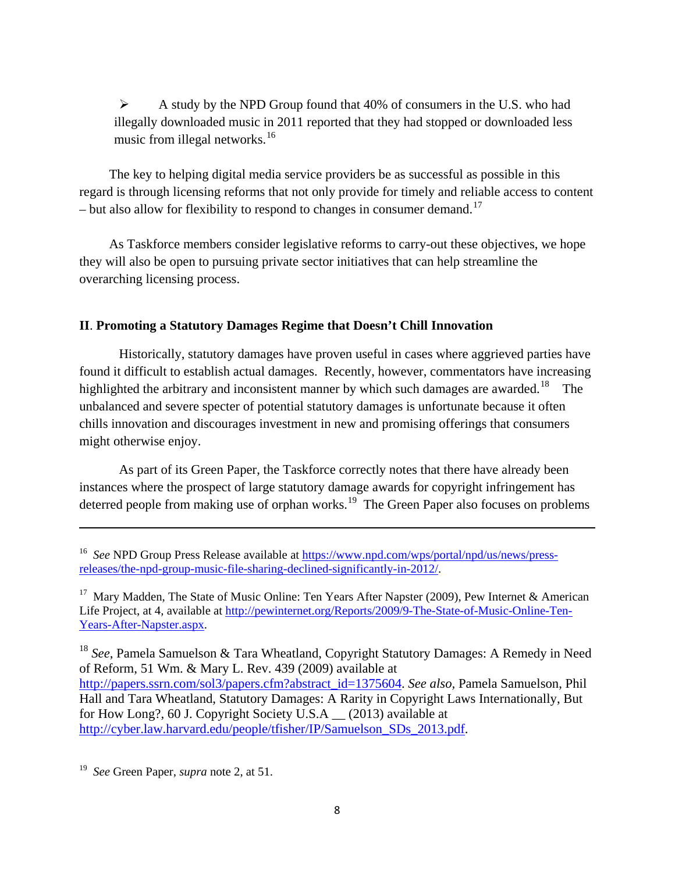$\triangleright$  A study by the NPD Group found that 40% of consumers in the U.S. who had illegally downloaded music in 2011 reported that they had stopped or downloaded less music from illegal networks. $16$ 

The key to helping digital media service providers be as successful as possible in this regard is through licensing reforms that not only provide for timely and reliable access to content – but also allow for flexibility to respond to changes in consumer demand.<sup>[17](#page-7-1)</sup>

As Taskforce members consider legislative reforms to carry-out these objectives, we hope they will also be open to pursuing private sector initiatives that can help streamline the overarching licensing process.

### **II**. **Promoting a Statutory Damages Regime that Doesn't Chill Innovation**

Historically, statutory damages have proven useful in cases where aggrieved parties have found it difficult to establish actual damages. Recently, however, commentators have increasing highlighted the arbitrary and inconsistent manner by which such damages are awarded.<sup>[18](#page-7-2)</sup> The unbalanced and severe specter of potential statutory damages is unfortunate because it often chills innovation and discourages investment in new and promising offerings that consumers might otherwise enjoy.

As part of its Green Paper, the Taskforce correctly notes that there have already been instances where the prospect of large statutory damage awards for copyright infringement has deterred people from making use of orphan works.<sup>[19](#page-7-3)</sup> The Green Paper also focuses on problems

<span id="page-7-2"></span><sup>18</sup> See, Pamela Samuelson & Tara Wheatland, Copyright Statutory Damages: A Remedy in Need of Reform, 51 Wm. & Mary L. Rev. 439 (2009) available at [http://papers.ssrn.com/sol3/papers.cfm?abstract\\_id=1375604.](http://papers.ssrn.com/sol3/papers.cfm?abstract_id=1375604) *See also,* Pamela Samuelson, Phil Hall and Tara Wheatland, Statutory Damages: A Rarity in Copyright Laws Internationally, But for How Long?, 60 J. Copyright Society U.S.A \_\_ (2013) available at [http://cyber.law.harvard.edu/people/tfisher/IP/Samuelson\\_SDs\\_2013.pdf.](http://cyber.law.harvard.edu/people/tfisher/IP/Samuelson_SDs_2013.pdf)

<span id="page-7-3"></span>19 *See* Green Paper, *supra* note 2, at 51.

<span id="page-7-0"></span><sup>&</sup>lt;sup>16</sup> *See* NPD Group Press Release available at [https://www.npd.com/wps/portal/npd/us/news/press](https://www.npd.com/wps/portal/npd/us/news/press-releases/the-npd-group-music-file-sharing-declined-significantly-in-2012/)[releases/the-npd-group-music-file-sharing-declined-significantly-in-2012/.](https://www.npd.com/wps/portal/npd/us/news/press-releases/the-npd-group-music-file-sharing-declined-significantly-in-2012/)

<span id="page-7-1"></span><sup>&</sup>lt;sup>17</sup> Mary Madden, The State of Music Online: Ten Years After Napster (2009), Pew Internet & American Life Project, at 4, available at [http://pewinternet.org/Reports/2009/9-The-State-of-Music-Online-Ten-](http://pewinternet.org/Reports/2009/9-The-State-of-Music-Online-Ten-Years-After-Napster.aspx)[Years-After-Napster.aspx.](http://pewinternet.org/Reports/2009/9-The-State-of-Music-Online-Ten-Years-After-Napster.aspx)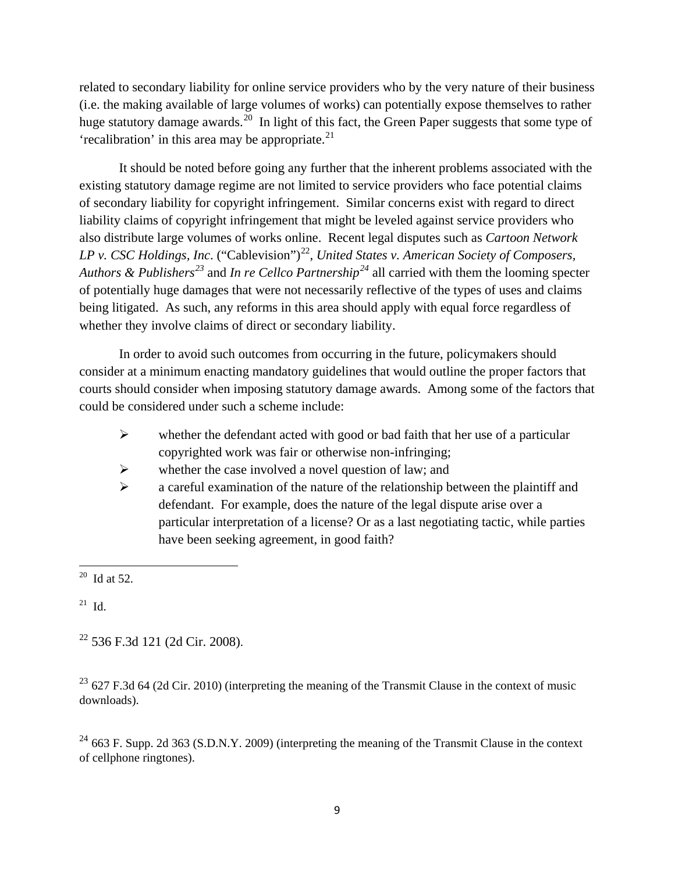related to secondary liability for online service providers who by the very nature of their business (i.e. the making available of large volumes of works) can potentially expose themselves to rather huge statutory damage awards.<sup>[20](#page-8-0)</sup> In light of this fact, the Green Paper suggests that some type of 'recalibration' in this area may be appropriate. $2<sup>1</sup>$ 

It should be noted before going any further that the inherent problems associated with the existing statutory damage regime are not limited to service providers who face potential claims of secondary liability for copyright infringement. Similar concerns exist with regard to direct liability claims of copyright infringement that might be leveled against service providers who also distribute large volumes of works online. Recent legal disputes such as *Cartoon Network LP v. CSC Holdings, Inc.* ("Cablevision")<sup>[22](#page-8-2)</sup>, *United States v. American Society of Composers, Authors & Publishers[23](#page-8-3)* and *In re Cellco Partnership[24](#page-8-4)* all carried with them the looming specter of potentially huge damages that were not necessarily reflective of the types of uses and claims being litigated. As such, any reforms in this area should apply with equal force regardless of whether they involve claims of direct or secondary liability.

In order to avoid such outcomes from occurring in the future, policymakers should consider at a minimum enacting mandatory guidelines that would outline the proper factors that courts should consider when imposing statutory damage awards. Among some of the factors that could be considered under such a scheme include:

- $\triangleright$  whether the defendant acted with good or bad faith that her use of a particular copyrighted work was fair or otherwise non-infringing;
- $\triangleright$  whether the case involved a novel question of law; and
- $\triangleright$  a careful examination of the nature of the relationship between the plaintiff and defendant. For example, does the nature of the legal dispute arise over a particular interpretation of a license? Or as a last negotiating tactic, while parties have been seeking agreement, in good faith?

<span id="page-8-0"></span> $20$  Id at 52.

<span id="page-8-1"></span> $21$  Id.

<span id="page-8-2"></span><sup>22</sup> 536 F.3d 121 (2d Cir. 2008).

<span id="page-8-3"></span> $^{23}$  627 F.3d 64 (2d Cir. 2010) (interpreting the meaning of the Transmit Clause in the context of music downloads).

<span id="page-8-4"></span> $^{24}$  663 F. Supp. 2d 363 (S.D.N.Y. 2009) (interpreting the meaning of the Transmit Clause in the context of cellphone ringtones).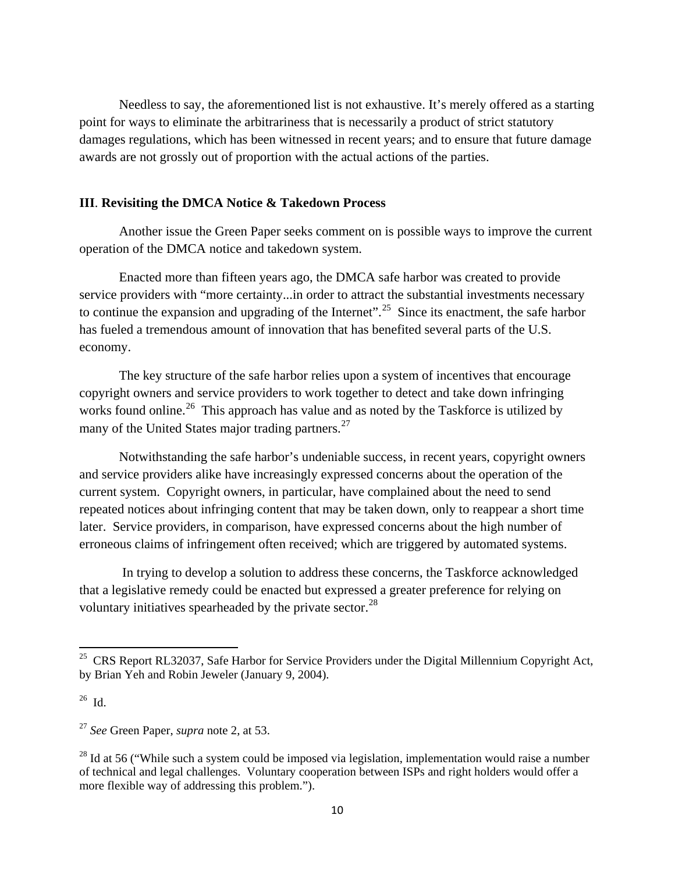Needless to say, the aforementioned list is not exhaustive. It's merely offered as a starting point for ways to eliminate the arbitrariness that is necessarily a product of strict statutory damages regulations, which has been witnessed in recent years; and to ensure that future damage awards are not grossly out of proportion with the actual actions of the parties.

### **III**. **Revisiting the DMCA Notice & Takedown Process**

Another issue the Green Paper seeks comment on is possible ways to improve the current operation of the DMCA notice and takedown system.

Enacted more than fifteen years ago, the DMCA safe harbor was created to provide service providers with "more certainty...in order to attract the substantial investments necessary to continue the expansion and upgrading of the Internet".<sup>[25](#page-9-0)</sup> Since its enactment, the safe harbor has fueled a tremendous amount of innovation that has benefited several parts of the U.S. economy.

The key structure of the safe harbor relies upon a system of incentives that encourage copyright owners and service providers to work together to detect and take down infringing works found online.<sup>26</sup> This approach has value and as noted by the Taskforce is utilized by many of the United States major trading partners.<sup>[27](#page-9-2)</sup>

Notwithstanding the safe harbor's undeniable success, in recent years, copyright owners and service providers alike have increasingly expressed concerns about the operation of the current system. Copyright owners, in particular, have complained about the need to send repeated notices about infringing content that may be taken down, only to reappear a short time later. Service providers, in comparison, have expressed concerns about the high number of erroneous claims of infringement often received; which are triggered by automated systems.

In trying to develop a solution to address these concerns, the Taskforce acknowledged that a legislative remedy could be enacted but expressed a greater preference for relying on voluntary initiatives spearheaded by the private sector.<sup>[28](#page-9-3)</sup>

<span id="page-9-0"></span><sup>&</sup>lt;sup>25</sup> CRS Report RL32037, Safe Harbor for Service Providers under the Digital Millennium Copyright Act, by Brian Yeh and Robin Jeweler (January 9, 2004).

<span id="page-9-1"></span><sup>26</sup> Id.

<span id="page-9-2"></span><sup>27</sup> *See* Green Paper, *supra* note 2, at 53.

<span id="page-9-3"></span> $^{28}$  Id at 56 ("While such a system could be imposed via legislation, implementation would raise a number of technical and legal challenges. Voluntary cooperation between ISPs and right holders would offer a more flexible way of addressing this problem.").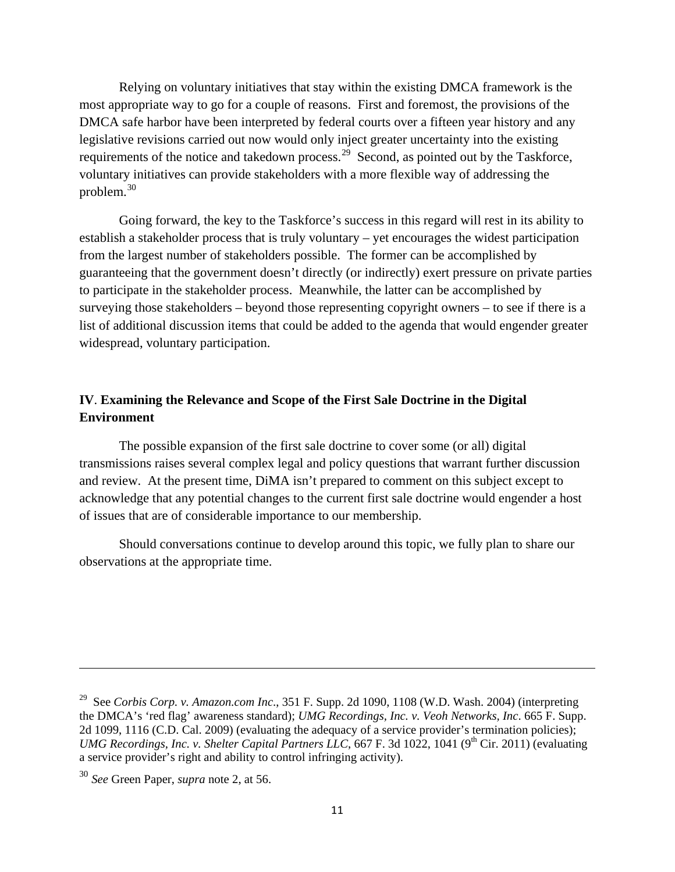Relying on voluntary initiatives that stay within the existing DMCA framework is the most appropriate way to go for a couple of reasons. First and foremost, the provisions of the DMCA safe harbor have been interpreted by federal courts over a fifteen year history and any legislative revisions carried out now would only inject greater uncertainty into the existing requirements of the notice and takedown process.<sup>[29](#page-10-0)</sup> Second, as pointed out by the Taskforce, voluntary initiatives can provide stakeholders with a more flexible way of addressing the problem.[30](#page-10-1)

Going forward, the key to the Taskforce's success in this regard will rest in its ability to establish a stakeholder process that is truly voluntary – yet encourages the widest participation from the largest number of stakeholders possible. The former can be accomplished by guaranteeing that the government doesn't directly (or indirectly) exert pressure on private parties to participate in the stakeholder process. Meanwhile, the latter can be accomplished by surveying those stakeholders – beyond those representing copyright owners – to see if there is a list of additional discussion items that could be added to the agenda that would engender greater widespread, voluntary participation.

## **IV**. **Examining the Relevance and Scope of the First Sale Doctrine in the Digital Environment**

The possible expansion of the first sale doctrine to cover some (or all) digital transmissions raises several complex legal and policy questions that warrant further discussion and review. At the present time, DiMA isn't prepared to comment on this subject except to acknowledge that any potential changes to the current first sale doctrine would engender a host of issues that are of considerable importance to our membership.

Should conversations continue to develop around this topic, we fully plan to share our observations at the appropriate time.

<span id="page-10-0"></span><sup>29</sup> See *Corbis Corp. v. Amazon.com Inc*., 351 F. Supp. 2d 1090, 1108 (W.D. Wash. 2004) (interpreting the DMCA's 'red flag' awareness standard); *UMG Recordings, Inc. v. Veoh Networks, Inc*. 665 F. Supp. 2d 1099, 1116 (C.D. Cal. 2009) (evaluating the adequacy of a service provider's termination policies); *UMG Recordings, Inc. v. Shelter Capital Partners LLC,* 667 F. 3d 1022, 1041 (9<sup>th</sup> Cir. 2011) (evaluating a service provider's right and ability to control infringing activity).

<span id="page-10-1"></span><sup>30</sup> *See* Green Paper, *supra* note 2, at 56.